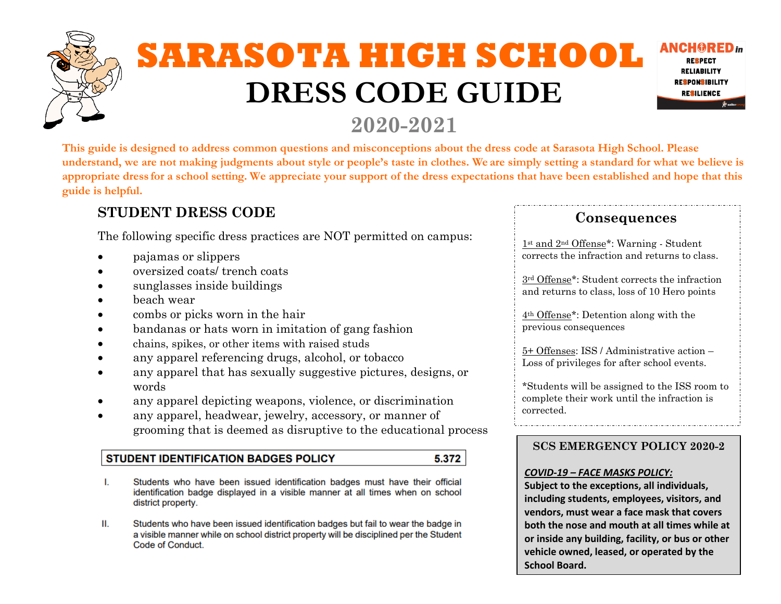# **SARASOTA HIGH SCHOOL DRESS CODE GUIDE**



## **2020-2021**

**This guide is designed to address common questions and misconceptions about the dress code at Sarasota High School. Please understand, we are not making judgments about style or people's taste in clothes. We are simply setting a standard for what we believe is appropriate dress for a school setting. We appreciate your support of the dress expectations that have been established and hope that this guide is helpful.**

## **STUDENT DRESS CODE**

The following specific dress practices are NOT permitted on campus:

- pajamas or slippers
- oversized coats/ trench coats
- sunglasses inside buildings
- beach wear
- combs or picks worn in the hair
- bandanas or hats worn in imitation of gang fashion
- chains, spikes, or other items with raised studs
- any apparel referencing drugs, alcohol, or tobacco
- any apparel that has sexually suggestive pictures, designs, or words
- any apparel depicting weapons, violence, or discrimination
- any apparel, headwear, jewelry, accessory, or manner of grooming that is deemed as disruptive to the educational process

#### **STUDENT IDENTIFICATION BADGES POLICY** 5.372

- L. Students who have been issued identification badges must have their official identification badge displayed in a visible manner at all times when on school district property.
- Ш. Students who have been issued identification badges but fail to wear the badge in a visible manner while on school district property will be disciplined per the Student Code of Conduct.

### **Consequences**

1st and 2nd Offense\*: Warning - Student corrects the infraction and returns to class.

3rd Offense\*: Student corrects the infraction and returns to class, loss of 10 Hero points

4th Offense\*: Detention along with the previous consequences

5+ Offenses: ISS / Administrative action – Loss of privileges for after school events.

\*Students will be assigned to the ISS room to complete their work until the infraction is corrected.

#### **SCS EMERGENCY POLICY 2020-2**

#### *COVID-19 – FACE MASKS POLICY:*

**Subject to the exceptions, all individuals, including students, employees, visitors, and vendors, must wear a face mask that covers both the nose and mouth at all times while at or inside any building, facility, or bus or other vehicle owned, leased, or operated by the School Board.**